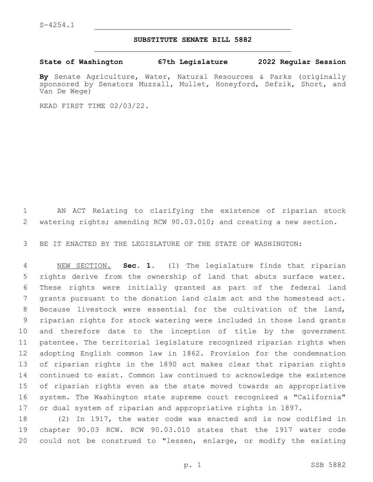## **SUBSTITUTE SENATE BILL 5882**

**State of Washington 67th Legislature 2022 Regular Session**

**By** Senate Agriculture, Water, Natural Resources & Parks (originally sponsored by Senators Muzzall, Mullet, Honeyford, Sefzik, Short, and Van De Wege)

READ FIRST TIME 02/03/22.

 AN ACT Relating to clarifying the existence of riparian stock 2 watering rights; amending RCW 90.03.010; and creating a new section.

BE IT ENACTED BY THE LEGISLATURE OF THE STATE OF WASHINGTON:

 NEW SECTION. **Sec. 1.** (1) The legislature finds that riparian rights derive from the ownership of land that abuts surface water. These rights were initially granted as part of the federal land grants pursuant to the donation land claim act and the homestead act. Because livestock were essential for the cultivation of the land, riparian rights for stock watering were included in those land grants and therefore date to the inception of title by the government patentee. The territorial legislature recognized riparian rights when adopting English common law in 1862. Provision for the condemnation of riparian rights in the 1890 act makes clear that riparian rights continued to exist. Common law continued to acknowledge the existence of riparian rights even as the state moved towards an appropriative system. The Washington state supreme court recognized a "California" or dual system of riparian and appropriative rights in 1897.

 (2) In 1917, the water code was enacted and is now codified in chapter 90.03 RCW. RCW 90.03.010 states that the 1917 water code could not be construed to "lessen, enlarge, or modify the existing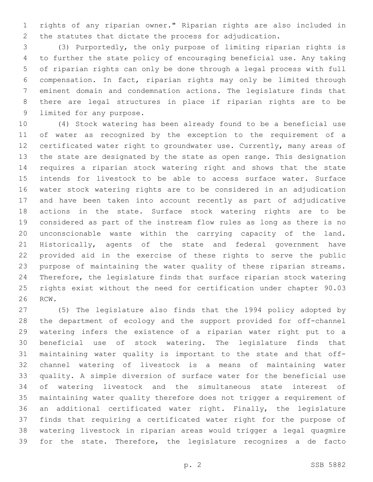rights of any riparian owner." Riparian rights are also included in the statutes that dictate the process for adjudication.

 (3) Purportedly, the only purpose of limiting riparian rights is to further the state policy of encouraging beneficial use. Any taking of riparian rights can only be done through a legal process with full compensation. In fact, riparian rights may only be limited through eminent domain and condemnation actions. The legislature finds that there are legal structures in place if riparian rights are to be 9 limited for any purpose.

 (4) Stock watering has been already found to be a beneficial use of water as recognized by the exception to the requirement of a certificated water right to groundwater use. Currently, many areas of the state are designated by the state as open range. This designation requires a riparian stock watering right and shows that the state intends for livestock to be able to access surface water. Surface water stock watering rights are to be considered in an adjudication and have been taken into account recently as part of adjudicative actions in the state. Surface stock watering rights are to be considered as part of the instream flow rules as long as there is no unconscionable waste within the carrying capacity of the land. Historically, agents of the state and federal government have provided aid in the exercise of these rights to serve the public purpose of maintaining the water quality of these riparian streams. Therefore, the legislature finds that surface riparian stock watering rights exist without the need for certification under chapter 90.03 26 RCW.

 (5) The legislature also finds that the 1994 policy adopted by the department of ecology and the support provided for off-channel watering infers the existence of a riparian water right put to a beneficial use of stock watering. The legislature finds that maintaining water quality is important to the state and that off- channel watering of livestock is a means of maintaining water quality. A simple diversion of surface water for the beneficial use of watering livestock and the simultaneous state interest of maintaining water quality therefore does not trigger a requirement of an additional certificated water right. Finally, the legislature finds that requiring a certificated water right for the purpose of watering livestock in riparian areas would trigger a legal quagmire for the state. Therefore, the legislature recognizes a de facto